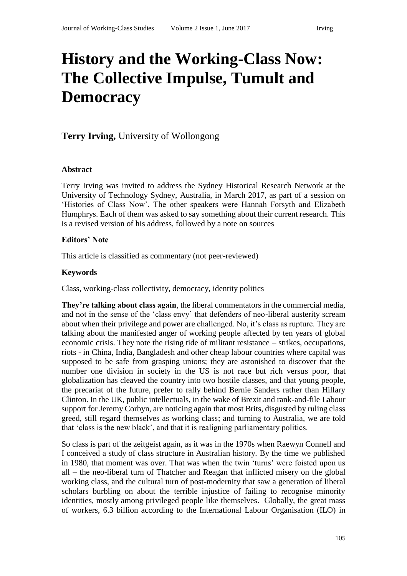# **History and the Working-Class Now: The Collective Impulse, Tumult and Democracy**

## **Terry Irving,** University of Wollongong

#### **Abstract**

Terry Irving was invited to address the Sydney Historical Research Network at the University of Technology Sydney, Australia, in March 2017, as part of a session on 'Histories of Class Now'. The other speakers were Hannah Forsyth and Elizabeth Humphrys. Each of them was asked to say something about their current research. This is a revised version of his address, followed by a note on sources

#### **Editors' Note**

This article is classified as commentary (not peer-reviewed)

#### **Keywords**

Class, working-class collectivity, democracy, identity politics

**They're talking about class again**, the liberal commentators in the commercial media, and not in the sense of the 'class envy' that defenders of neo-liberal austerity scream about when their privilege and power are challenged. No, it's class as rupture. They are talking about the manifested anger of working people affected by ten years of global economic crisis. They note the rising tide of militant resistance – strikes, occupations, riots - in China, India, Bangladesh and other cheap labour countries where capital was supposed to be safe from grasping unions; they are astonished to discover that the number one division in society in the US is not race but rich versus poor, that globalization has cleaved the country into two hostile classes, and that young people, the precariat of the future, prefer to rally behind Bernie Sanders rather than Hillary Clinton. In the UK, public intellectuals, in the wake of Brexit and rank-and-file Labour support for Jeremy Corbyn, are noticing again that most Brits, disgusted by ruling class greed, still regard themselves as working class; and turning to Australia, we are told that 'class is the new black', and that it is realigning parliamentary politics.

So class is part of the zeitgeist again, as it was in the 1970s when Raewyn Connell and I conceived a study of class structure in Australian history. By the time we published in 1980, that moment was over. That was when the twin 'turns' were foisted upon us all – the neo-liberal turn of Thatcher and Reagan that inflicted misery on the global working class, and the cultural turn of post-modernity that saw a generation of liberal scholars burbling on about the terrible injustice of failing to recognise minority identities, mostly among privileged people like themselves. Globally, the great mass of workers, 6.3 billion according to the International Labour Organisation (ILO) in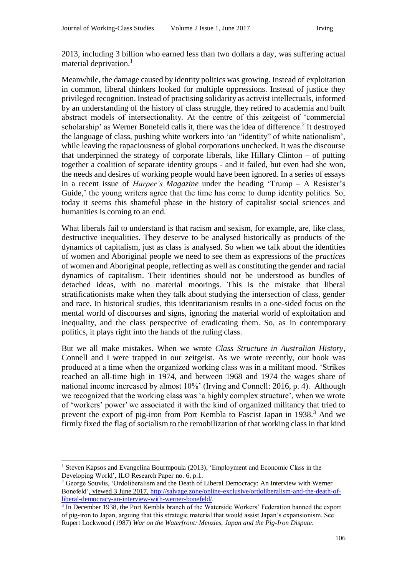2013, including 3 billion who earned less than two dollars a day, was suffering actual material deprivation.<sup>1</sup>

Meanwhile, the damage caused by identity politics was growing. Instead of exploitation in common, liberal thinkers looked for multiple oppressions. Instead of justice they privileged recognition. Instead of practising solidarity as activist intellectuals, informed by an understanding of the history of class struggle, they retired to academia and built abstract models of intersectionality. At the centre of this zeitgeist of 'commercial scholarship' as Werner Bonefeld calls it, there was the idea of difference.<sup>2</sup> It destroyed the language of class, pushing white workers into 'an "identity" of white nationalism', while leaving the rapaciousness of global corporations unchecked. It was the discourse that underpinned the strategy of corporate liberals, like Hillary Clinton – of putting together a coalition of separate identity groups - and it failed, but even had she won, the needs and desires of working people would have been ignored. In a series of essays in a recent issue of *Harper's Magazine* under the heading 'Trump – A Resister's Guide,' the young writers agree that the time has come to dump identity politics. So, today it seems this shameful phase in the history of capitalist social sciences and humanities is coming to an end.

What liberals fail to understand is that racism and sexism, for example, are, like class, destructive inequalities. They deserve to be analysed historically as products of the dynamics of capitalism, just as class is analysed. So when we talk about the identities of women and Aboriginal people we need to see them as expressions of the *practices* of women and Aboriginal people, reflecting as well as constituting the gender and racial dynamics of capitalism. Their identities should not be understood as bundles of detached ideas, with no material moorings. This is the mistake that liberal stratificationists make when they talk about studying the intersection of class, gender and race. In historical studies, this identitarianism results in a one-sided focus on the mental world of discourses and signs, ignoring the material world of exploitation and inequality, and the class perspective of eradicating them. So, as in contemporary politics, it plays right into the hands of the ruling class.

But we all make mistakes. When we wrote *Class Structure in Australian History*, Connell and I were trapped in our zeitgeist. As we wrote recently, our book was produced at a time when the organized working class was in a militant mood. 'Strikes reached an all-time high in 1974, and between 1968 and 1974 the wages share of national income increased by almost 10%' (Irving and Connell: 2016, p. 4). Although we recognized that the working class was 'a highly complex structure', when we wrote of 'workers' power' we associated it with the kind of organized militancy that tried to prevent the export of pig-iron from Port Kembla to Fascist Japan in 1938.<sup>3</sup> And we firmly fixed the flag of socialism to the remobilization of that working class in that kind

 $\overline{a}$ <sup>1</sup> Steven Kapsos and Evangelina Bourmpoula (2013), 'Employment and Economic Class in the Developing World', ILO Research Paper no. 6, p.1.

<sup>2</sup> George Souvlis, 'Ordoliberalism and the Death of Liberal Democracy: An Interview with Werner Bonefeld', viewed 3 June 2017, [http://salvage.zone/online-exclusive/ordoliberalism-and-the-death-of](http://salvage.zone/online-exclusive/ordoliberalism-and-the-death-of-liberal-democracy-an-interview-with-werner-bonefeld/)[liberal-democracy-an-interview-with-werner-bonefeld/.](http://salvage.zone/online-exclusive/ordoliberalism-and-the-death-of-liberal-democracy-an-interview-with-werner-bonefeld/)

<sup>&</sup>lt;sup>3</sup> In December 1938, the Port Kembla branch of the Waterside Workers' Federation banned the export of pig-iron to Japan, arguing that this strategic material that would assist Japan's expansionism. See Rupert Lockwood (1987) *War on the Waterfront: Menzies, Japan and the Pig-Iron Dispute*.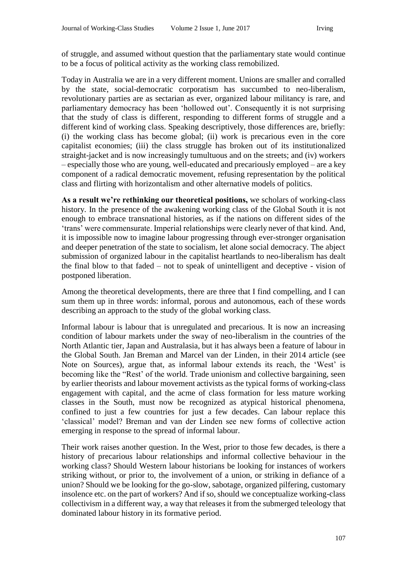of struggle, and assumed without question that the parliamentary state would continue to be a focus of political activity as the working class remobilized.

Today in Australia we are in a very different moment. Unions are smaller and corralled by the state, social-democratic corporatism has succumbed to neo-liberalism, revolutionary parties are as sectarian as ever, organized labour militancy is rare, and parliamentary democracy has been 'hollowed out'. Consequently it is not surprising that the study of class is different, responding to different forms of struggle and a different kind of working class. Speaking descriptively, those differences are, briefly: (i) the working class has become global; (ii) work is precarious even in the core capitalist economies; (iii) the class struggle has broken out of its institutionalized straight-jacket and is now increasingly tumultuous and on the streets; and (iv) workers – especially those who are young, well-educated and precariously employed – are a key component of a radical democratic movement, refusing representation by the political class and flirting with horizontalism and other alternative models of politics.

**As a result we're rethinking our theoretical positions,** we scholars of working-class history. In the presence of the awakening working class of the Global South it is not enough to embrace transnational histories, as if the nations on different sides of the 'trans' were commensurate. Imperial relationships were clearly never of that kind. And, it is impossible now to imagine labour progressing through ever-stronger organisation and deeper penetration of the state to socialism, let alone social democracy. The abject submission of organized labour in the capitalist heartlands to neo-liberalism has dealt the final blow to that faded – not to speak of unintelligent and deceptive - vision of postponed liberation.

Among the theoretical developments, there are three that I find compelling, and I can sum them up in three words: informal, porous and autonomous, each of these words describing an approach to the study of the global working class.

Informal labour is labour that is unregulated and precarious. It is now an increasing condition of labour markets under the sway of neo-liberalism in the countries of the North Atlantic tier, Japan and Australasia, but it has always been a feature of labour in the Global South. Jan Breman and Marcel van der Linden, in their 2014 article (see Note on Sources), argue that, as informal labour extends its reach, the 'West' is becoming like the "Rest' of the world. Trade unionism and collective bargaining, seen by earlier theorists and labour movement activists as the typical forms of working-class engagement with capital, and the acme of class formation for less mature working classes in the South, must now be recognized as atypical historical phenomena, confined to just a few countries for just a few decades. Can labour replace this 'classical' model? Breman and van der Linden see new forms of collective action emerging in response to the spread of informal labour.

Their work raises another question. In the West, prior to those few decades, is there a history of precarious labour relationships and informal collective behaviour in the working class? Should Western labour historians be looking for instances of workers striking without, or prior to, the involvement of a union, or striking in defiance of a union? Should we be looking for the go-slow, sabotage, organized pilfering, customary insolence etc. on the part of workers? And if so, should we conceptualize working-class collectivism in a different way, a way that releases it from the submerged teleology that dominated labour history in its formative period.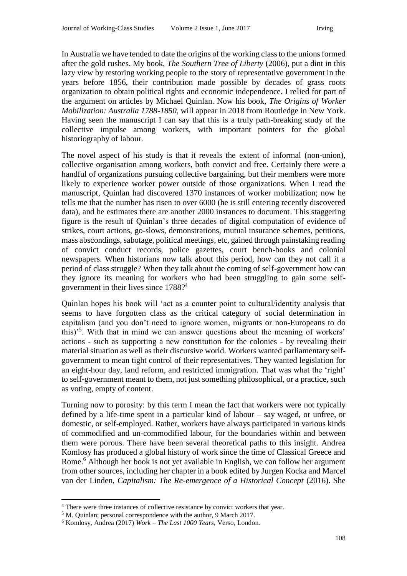In Australia we have tended to date the origins of the working class to the unions formed after the gold rushes. My book, *The Southern Tree of Liberty* (2006), put a dint in this lazy view by restoring working people to the story of representative government in the years before 1856, their contribution made possible by decades of grass roots organization to obtain political rights and economic independence. I relied for part of the argument on articles by Michael Quinlan. Now his book, *The Origins of Worker Mobilization: Australia 1788-1850*, will appear in 2018 from Routledge in New York. Having seen the manuscript I can say that this is a truly path-breaking study of the collective impulse among workers, with important pointers for the global historiography of labour.

The novel aspect of his study is that it reveals the extent of informal (non-union), collective organisation among workers, both convict and free. Certainly there were a handful of organizations pursuing collective bargaining, but their members were more likely to experience worker power outside of those organizations. When I read the manuscript, Quinlan had discovered 1370 instances of worker mobilization; now he tells me that the number has risen to over 6000 (he is still entering recently discovered data), and he estimates there are another 2000 instances to document. This staggering figure is the result of Quinlan's three decades of digital computation of evidence of strikes, court actions, go-slows, demonstrations, mutual insurance schemes, petitions, mass abscondings, sabotage, political meetings, etc, gained through painstaking reading of convict conduct records, police gazettes, court bench-books and colonial newspapers. When historians now talk about this period, how can they not call it a period of class struggle? When they talk about the coming of self-government how can they ignore its meaning for workers who had been struggling to gain some selfgovernment in their lives since 1788? 4

Quinlan hopes his book will 'act as a counter point to cultural/identity analysis that seems to have forgotten class as the critical category of social determination in capitalism (and you don't need to ignore women, migrants or non-Europeans to do this)'<sup>5</sup> . With that in mind we can answer questions about the meaning of workers' actions - such as supporting a new constitution for the colonies - by revealing their material situation as well as their discursive world. Workers wanted parliamentary selfgovernment to mean tight control of their representatives. They wanted legislation for an eight-hour day, land reform, and restricted immigration. That was what the 'right' to self-government meant to them, not just something philosophical, or a practice, such as voting, empty of content.

Turning now to porosity: by this term I mean the fact that workers were not typically defined by a life-time spent in a particular kind of labour – say waged, or unfree, or domestic, or self-employed. Rather, workers have always participated in various kinds of commodified and un-commodified labour, for the boundaries within and between them were porous. There have been several theoretical paths to this insight. Andrea Komlosy has produced a global history of work since the time of Classical Greece and Rome.<sup>6</sup> Although her book is not yet available in English, we can follow her argument from other sources, including her chapter in a book edited by Jurgen Kocka and Marcel van der Linden, *Capitalism: The Re-emergence of a Historical Concept* (2016). She

 $\overline{a}$ <sup>4</sup> There were three instances of collective resistance by convict workers that year.

<sup>5</sup> M. Quinlan; personal correspondence with the author, 9 March 2017.

<sup>6</sup> Komlosy, Andrea (2017) *Work – The Last 1000 Years*, Verso, London.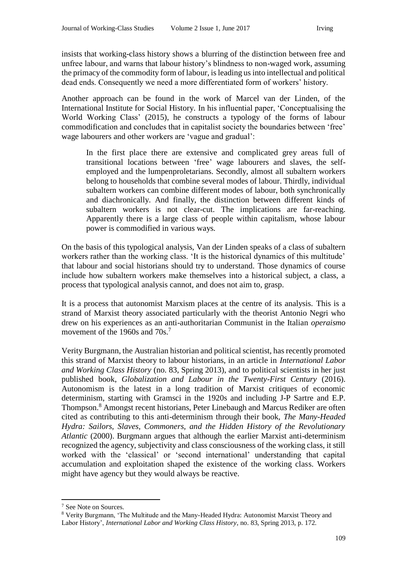insists that working-class history shows a blurring of the distinction between free and unfree labour, and warns that labour history's blindness to non-waged work, assuming the primacy of the commodity form of labour, is leading us into intellectual and political dead ends. Consequently we need a more differentiated form of workers' history.

Another approach can be found in the work of Marcel van der Linden, of the International Institute for Social History. In his influential paper, 'Conceptualising the World Working Class' (2015), he constructs a typology of the forms of labour commodification and concludes that in capitalist society the boundaries between 'free' wage labourers and other workers are 'vague and gradual':

In the first place there are extensive and complicated grey areas full of transitional locations between 'free' wage labourers and slaves, the selfemployed and the lumpenproletarians. Secondly, almost all subaltern workers belong to households that combine several modes of labour. Thirdly, individual subaltern workers can combine different modes of labour, both synchronically and diachronically. And finally, the distinction between different kinds of subaltern workers is not clear-cut. The implications are far-reaching. Apparently there is a large class of people within capitalism, whose labour power is commodified in various ways.

On the basis of this typological analysis, Van der Linden speaks of a class of subaltern workers rather than the working class. 'It is the historical dynamics of this multitude' that labour and social historians should try to understand. Those dynamics of course include how subaltern workers make themselves into a historical subject, a class, a process that typological analysis cannot, and does not aim to, grasp.

It is a process that autonomist Marxism places at the centre of its analysis. This is a strand of Marxist theory associated particularly with the theorist Antonio Negri who drew on his experiences as an anti-authoritarian Communist in the Italian *operaismo* movement of the 1960s and 70s.<sup>7</sup>

Verity Burgmann, the Australian historian and political scientist, has recently promoted this strand of Marxist theory to labour historians, in an article in *International Labor and Working Class History* (no. 83, Spring 2013), and to political scientists in her just published book, *Globalization and Labour in the Twenty-First Century* (2016). Autonomism is the latest in a long tradition of Marxist critiques of economic determinism, starting with Gramsci in the 1920s and including J-P Sartre and E.P. Thompson.<sup>8</sup> Amongst recent historians, Peter Linebaugh and Marcus Rediker are often cited as contributing to this anti-determinism through their book, *The Many-Headed Hydra: Sailors, Slaves, Commoners, and the Hidden History of the Revolutionary Atlantic* (2000). Burgmann argues that although the earlier Marxist anti-determinism recognized the agency, subjectivity and class consciousness of the working class, it still worked with the 'classical' or 'second international' understanding that capital accumulation and exploitation shaped the existence of the working class. Workers might have agency but they would always be reactive.

 $\overline{a}$ 

<sup>7</sup> See Note on Sources.

<sup>8</sup> Verity Burgmann, 'The Multitude and the Many-Headed Hydra: Autonomist Marxist Theory and Labor History', *International Labor and Working Class History*, no. 83, Spring 2013, p. 172.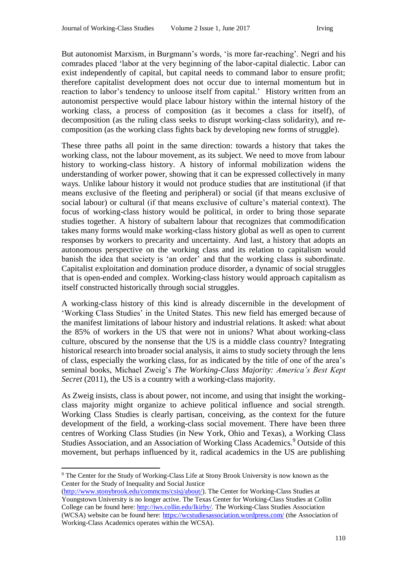But autonomist Marxism, in Burgmann's words, 'is more far-reaching'. Negri and his comrades placed 'labor at the very beginning of the labor-capital dialectic. Labor can exist independently of capital, but capital needs to command labor to ensure profit; therefore capitalist development does not occur due to internal momentum but in reaction to labor's tendency to unloose itself from capital.' History written from an autonomist perspective would place labour history within the internal history of the working class, a process of composition (as it becomes a class for itself), of decomposition (as the ruling class seeks to disrupt working-class solidarity), and recomposition (as the working class fights back by developing new forms of struggle).

These three paths all point in the same direction: towards a history that takes the working class, not the labour movement, as its subject. We need to move from labour history to working-class history. A history of informal mobilization widens the understanding of worker power, showing that it can be expressed collectively in many ways. Unlike labour history it would not produce studies that are institutional (if that means exclusive of the fleeting and peripheral) or social (if that means exclusive of social labour) or cultural (if that means exclusive of culture's material context). The focus of working-class history would be political, in order to bring those separate studies together. A history of subaltern labour that recognizes that commodification takes many forms would make working-class history global as well as open to current responses by workers to precarity and uncertainty. And last, a history that adopts an autonomous perspective on the working class and its relation to capitalism would banish the idea that society is 'an order' and that the working class is subordinate. Capitalist exploitation and domination produce disorder, a dynamic of social struggles that is open-ended and complex. Working-class history would approach capitalism as itself constructed historically through social struggles.

A working-class history of this kind is already discernible in the development of 'Working Class Studies' in the United States. This new field has emerged because of the manifest limitations of labour history and industrial relations. It asked: what about the 85% of workers in the US that were not in unions? What about working-class culture, obscured by the nonsense that the US is a middle class country? Integrating historical research into broader social analysis, it aims to study society through the lens of class, especially the working class, for as indicated by the title of one of the area's seminal books, Michael Zweig's *The Working-Class Majority: America's Best Kept Secret* (2011), the US is a country with a working-class majority.

As Zweig insists, class is about power, not income, and using that insight the workingclass majority might organize to achieve political influence and social strength. Working Class Studies is clearly partisan, conceiving, as the context for the future development of the field, a working-class social movement. There have been three centres of Working Class Studies (in New York, Ohio and Texas), a Working Class Studies Association, and an Association of Working Class Academics.<sup>9</sup> Outside of this movement, but perhaps influenced by it, radical academics in the US are publishing

 $\overline{a}$ <sup>9</sup> The Center for the Study of Working-Class Life at Stony Brook University is now known as the Center for the Study of Inequality and Social Justice

[<sup>\(</sup>http://www.stonybrook.edu/commcms/csisj/about/\)](http://www.stonybrook.edu/commcms/csisj/about/). The Center for Working-Class Studies at Youngstown University is no longer active. The Texas Center for Working-Class Studies at Collin College can be found here: [http://iws.collin.edu/lkirby/.](http://iws.collin.edu/lkirby/) The Working-Class Studies Association (WCSA) website can be found here:<https://wcstudiesassociation.wordpress.com/> (the Association of Working-Class Academics operates within the WCSA).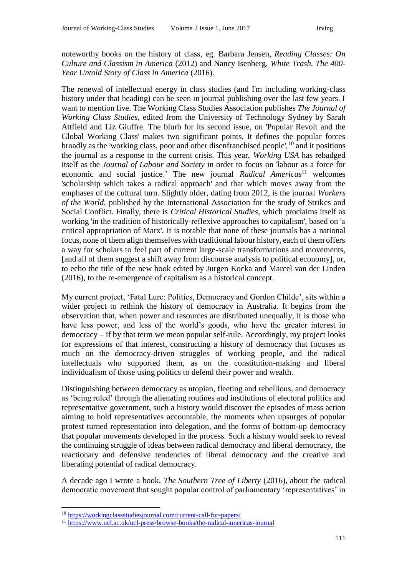noteworthy books on the history of class, eg. Barbara Jensen, *Reading Classes: On Culture and Classism in America* (2012) and Nancy Isenberg, *White Trash. The 400- Year Untold Story of Class in America* (2016).

The renewal of intellectual energy in class studies (and I'm including working-class history under that heading) can be seen in journal publishing over the last few years. I want to mention five. The Working Class Studies Association publishes *The Journal of Working Class Studies*, edited from the University of Technology Sydney by Sarah Attfield and Liz Giuffre. The blurb for its second issue, on 'Popular Revolt and the Global Working Class' makes two significant points. It defines the popular forces broadly as the 'working class, poor and other disenfranchised people',<sup>10</sup> and it positions the journal as a response to the current crisis. This year, *Working USA* has rebadged itself as the *Journal of Labour and Society* in order to focus on 'labour as a force for economic and social justice.' The new journal *Radical Americas*<sup>11</sup> welcomes 'scholarship which takes a radical approach' and that which moves away from the emphases of the cultural turn. Slightly older, dating from 2012, is the journal *Workers of the World,* published by the International Association for the study of Strikes and Social Conflict. Finally, there is *Critical Historical Studies*, which proclaims itself as working 'in the tradition of historically-reflexive approaches to capitalism', based on 'a critical appropriation of Marx'. It is notable that none of these journals has a national focus, none of them align themselves with traditional labour history, each of them offers a way for scholars to feel part of current large-scale transformations and movements, [and all of them suggest a shift away from discourse analysis to political economy], or, to echo the title of the new book edited by Jurgen Kocka and Marcel van der Linden (2016), to the re-emergence of capitalism as a historical concept.

My current project, 'Fatal Lure: Politics, Democracy and Gordon Childe', sits within a wider project to rethink the history of democracy in Australia. It begins from the observation that, when power and resources are distributed unequally, it is those who have less power, and less of the world's goods, who have the greater interest in democracy – if by that term we mean popular self-rule. Accordingly, my project looks for expressions of that interest, constructing a history of democracy that focuses as much on the democracy-driven struggles of working people, and the radical intellectuals who supported them, as on the constitution-making and liberal individualism of those using politics to defend their power and wealth.

Distinguishing between democracy as utopian, fleeting and rebellious, and democracy as 'being ruled' through the alienating routines and institutions of electoral politics and representative government, such a history would discover the episodes of mass action aiming to hold representatives accountable, the moments when upsurges of popular protest turned representation into delegation, and the forms of bottom-up democracy that popular movements developed in the process. Such a history would seek to reveal the continuing struggle of ideas between radical democracy and liberal democracy, the reactionary and defensive tendencies of liberal democracy and the creative and liberating potential of radical democracy.

A decade ago I wrote a book, *The Southern Tree of Liberty* (2016), about the radical democratic movement that sought popular control of parliamentary 'representatives' in

 $\overline{a}$ 

<sup>10</sup> <https://workingclassstudiesjournal.com/current-call-for-papers/>

<sup>11</sup> <https://www.ucl.ac.uk/ucl-press/browse-books/the-radical-americas-journal>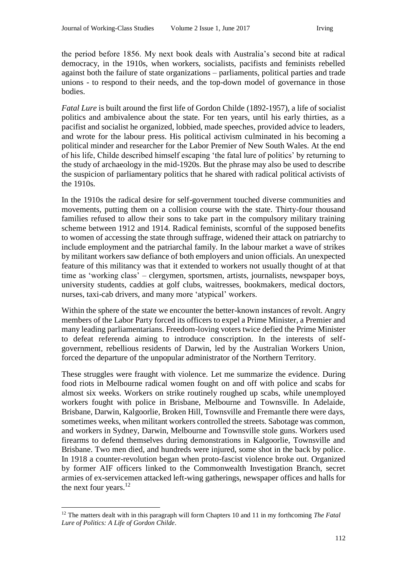the period before 1856. My next book deals with Australia's second bite at radical democracy, in the 1910s, when workers, socialists, pacifists and feminists rebelled against both the failure of state organizations – parliaments, political parties and trade unions - to respond to their needs, and the top-down model of governance in those bodies.

*Fatal Lure* is built around the first life of Gordon Childe (1892-1957), a life of socialist politics and ambivalence about the state. For ten years, until his early thirties, as a pacifist and socialist he organized, lobbied, made speeches, provided advice to leaders, and wrote for the labour press. His political activism culminated in his becoming a political minder and researcher for the Labor Premier of New South Wales. At the end of his life, Childe described himself escaping 'the fatal lure of politics' by returning to the study of archaeology in the mid-1920s. But the phrase may also be used to describe the suspicion of parliamentary politics that he shared with radical political activists of the 1910s.

In the 1910s the radical desire for self-government touched diverse communities and movements, putting them on a collision course with the state. Thirty-four thousand families refused to allow their sons to take part in the compulsory military training scheme between 1912 and 1914. Radical feminists, scornful of the supposed benefits to women of accessing the state through suffrage, widened their attack on patriarchy to include employment and the patriarchal family. In the labour market a wave of strikes by militant workers saw defiance of both employers and union officials. An unexpected feature of this militancy was that it extended to workers not usually thought of at that time as 'working class' – clergymen, sportsmen, artists, journalists, newspaper boys, university students, caddies at golf clubs, waitresses, bookmakers, medical doctors, nurses, taxi-cab drivers, and many more 'atypical' workers.

Within the sphere of the state we encounter the better-known instances of revolt. Angry members of the Labor Party forced its officers to expel a Prime Minister, a Premier and many leading parliamentarians. Freedom-loving voters twice defied the Prime Minister to defeat referenda aiming to introduce conscription. In the interests of selfgovernment, rebellious residents of Darwin, led by the Australian Workers Union, forced the departure of the unpopular administrator of the Northern Territory.

These struggles were fraught with violence. Let me summarize the evidence. During food riots in Melbourne radical women fought on and off with police and scabs for almost six weeks. Workers on strike routinely roughed up scabs, while unemployed workers fought with police in Brisbane, Melbourne and Townsville. In Adelaide, Brisbane, Darwin, Kalgoorlie, Broken Hill, Townsville and Fremantle there were days, sometimes weeks, when militant workers controlled the streets. Sabotage was common, and workers in Sydney, Darwin, Melbourne and Townsville stole guns. Workers used firearms to defend themselves during demonstrations in Kalgoorlie, Townsville and Brisbane. Two men died, and hundreds were injured, some shot in the back by police. In 1918 a counter-revolution began when proto-fascist violence broke out. Organized by former AIF officers linked to the Commonwealth Investigation Branch, secret armies of ex-servicemen attacked left-wing gatherings, newspaper offices and halls for the next four years.<sup>12</sup>

 $\overline{a}$ 

<sup>12</sup> The matters dealt with in this paragraph will form Chapters 10 and 11 in my forthcoming *The Fatal Lure of Politics: A Life of Gordon Childe*.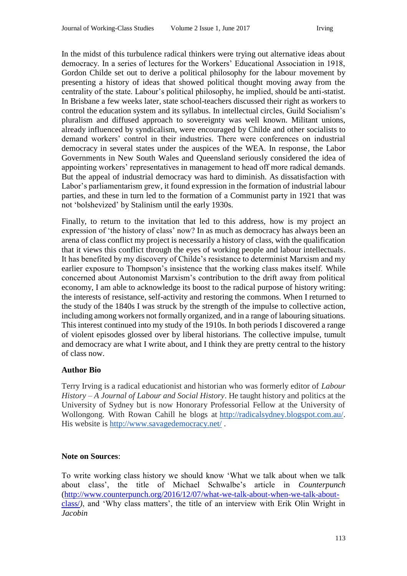In the midst of this turbulence radical thinkers were trying out alternative ideas about democracy. In a series of lectures for the Workers' Educational Association in 1918, Gordon Childe set out to derive a political philosophy for the labour movement by presenting a history of ideas that showed political thought moving away from the centrality of the state. Labour's political philosophy, he implied, should be anti-statist. In Brisbane a few weeks later, state school-teachers discussed their right as workers to control the education system and its syllabus. In intellectual circles, Guild Socialism's pluralism and diffused approach to sovereignty was well known. Militant unions, already influenced by syndicalism, were encouraged by Childe and other socialists to demand workers' control in their industries. There were conferences on industrial democracy in several states under the auspices of the WEA. In response, the Labor Governments in New South Wales and Queensland seriously considered the idea of appointing workers' representatives in management to head off more radical demands. But the appeal of industrial democracy was hard to diminish. As dissatisfaction with Labor's parliamentarism grew, it found expression in the formation of industrial labour parties, and these in turn led to the formation of a Communist party in 1921 that was not 'bolshevized' by Stalinism until the early 1930s.

Finally, to return to the invitation that led to this address, how is my project an expression of 'the history of class' now? In as much as democracy has always been an arena of class conflict my project is necessarily a history of class, with the qualification that it views this conflict through the eyes of working people and labour intellectuals. It has benefited by my discovery of Childe's resistance to determinist Marxism and my earlier exposure to Thompson's insistence that the working class makes itself. While concerned about Autonomist Marxism's contribution to the drift away from political economy, I am able to acknowledge its boost to the radical purpose of history writing: the interests of resistance, self-activity and restoring the commons. When I returned to the study of the 1840s I was struck by the strength of the impulse to collective action, including among workers not formally organized, and in a range of labouring situations. This interest continued into my study of the 1910s. In both periods I discovered a range of violent episodes glossed over by liberal historians. The collective impulse, tumult and democracy are what I write about, and I think they are pretty central to the history of class now.

## **Author Bio**

Terry Irving is a radical educationist and historian who was formerly editor of *Labour History – A Journal of Labour and Social History*. He taught history and politics at the University of Sydney but is now Honorary Professorial Fellow at the University of Wollongong. With Rowan Cahill he blogs at [http://radicalsydney.blogspot.com.au/.](http://radicalsydney.blogspot.com.au/) His website is <http://www.savagedemocracy.net/> .

### **Note on Sources**:

To write working class history we should know 'What we talk about when we talk about class', the title of Michael Schwalbe's article in *Counterpunch*  [\(http://www.counterpunch.org/2016/12/07/what-we-talk-about-when-we-talk-about](http://www.counterpunch.org/2016/12/07/what-we-talk-about-when-we-talk-about-class/)[class/](http://www.counterpunch.org/2016/12/07/what-we-talk-about-when-we-talk-about-class/)*)*, and 'Why class matters', the title of an interview with Erik Olin Wright in *Jacobin*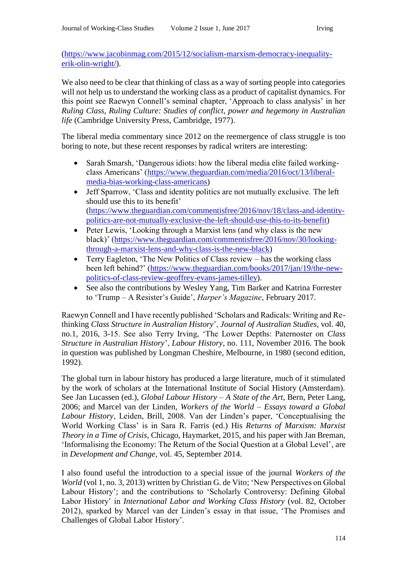[\(https://www.jacobinmag.com/2015/12/socialism-marxism-democracy-inequality](https://www.jacobinmag.com/2015/12/socialism-marxism-democracy-inequality-erik-olin-wright/)[erik-olin-wright/\)](https://www.jacobinmag.com/2015/12/socialism-marxism-democracy-inequality-erik-olin-wright/).

We also need to be clear that thinking of class as a way of sorting people into categories will not help us to understand the working class as a product of capitalist dynamics. For this point see Raewyn Connell's seminal chapter, 'Approach to class analysis' in her *Ruling Class, Ruling Culture: Studies of conflict, power and hegemony in Australian life* (Cambridge University Press, Cambridge, 1977).

The liberal media commentary since 2012 on the reemergence of class struggle is too boring to note, but these recent responses by radical writers are interesting:

- Sarah Smarsh, 'Dangerous idiots: how the liberal media elite failed workingclass Americans' [\(https://www.theguardian.com/media/2016/oct/13/liberal](https://www.theguardian.com/media/2016/oct/13/liberal-media-bias-working-class-americans)[media-bias-working-class-americans\)](https://www.theguardian.com/media/2016/oct/13/liberal-media-bias-working-class-americans)
- Jeff Sparrow, 'Class and identity politics are not mutually exclusive. The left should use this to its benefit' [\(https://www.theguardian.com/commentisfree/2016/nov/18/class-and-identity](https://www.theguardian.com/commentisfree/2016/nov/18/class-and-identity-politics-are-not-mutually-exclusive-the-left-should-use-this-to-its-benefit)[politics-are-not-mutually-exclusive-the-left-should-use-this-to-its-benefit\)](https://www.theguardian.com/commentisfree/2016/nov/18/class-and-identity-politics-are-not-mutually-exclusive-the-left-should-use-this-to-its-benefit)
- Peter Lewis, 'Looking through a Marxist lens (and why class is the new black)' [\(https://www.theguardian.com/commentisfree/2016/nov/30/looking](https://www.theguardian.com/commentisfree/2016/nov/30/looking-through-a-marxist-lens-and-why-class-is-the-new-black)[through-a-marxist-lens-and-why-class-is-the-new-black\)](https://www.theguardian.com/commentisfree/2016/nov/30/looking-through-a-marxist-lens-and-why-class-is-the-new-black)
- Terry Eagleton, 'The New Politics of Class review has the working class been left behind?' [\(https://www.theguardian.com/books/2017/jan/19/the-new](https://www.theguardian.com/books/2017/jan/19/the-new-politics-of-class-review-geoffrey-evans-james-tilley)[politics-of-class-review-geoffrey-evans-james-tilley\)](https://www.theguardian.com/books/2017/jan/19/the-new-politics-of-class-review-geoffrey-evans-james-tilley).
- See also the contributions by Wesley Yang, Tim Barker and Katrina Forrester to 'Trump – A Resister's Guide', *Harper's Magazine*, February 2017.

Raewyn Connell and I have recently published 'Scholars and Radicals: Writing and Rethinking *Class Structure in Australian History*', *Journal of Australian Studies*, vol. 40, no.1, 2016, 3-15. See also Terry Irving, 'The Lower Depths: Paternoster on *Class Structure in Australian History*', *Labour History*, no. 111, November 2016. The book in question was published by Longman Cheshire, Melbourne, in 1980 (second edition, 1992).

The global turn in labour history has produced a large literature, much of it stimulated by the work of scholars at the International Institute of Social History (Amsterdam). See Jan Lucassen (ed.), *Global Labour History – A State of the Art*, Bern, Peter Lang, 2006; and Marcel van der Linden, *Workers of the World – Essays toward a Global Labour History*, Leiden, Brill, 2008. Van der Linden's paper, 'Conceptualising the World Working Class' is in Sara R. Farris (ed.) His *Returns of Marxism: Marxist Theory in a Time of Crisis*, Chicago, Haymarket, 2015, and his paper with Jan Breman, 'Informalising the Economy: The Return of the Social Question at a Global Level', are in *Development and Change*, vol. 45, September 2014.

I also found useful the introduction to a special issue of the journal *Workers of the World* (vol 1, no. 3, 2013) written by Christian G. de Vito; 'New Perspectives on Global Labour History'; and the contributions to 'Scholarly Controversy: Defining Global Labor History' in *International Labor and Working Class History* (vol. 82, October 2012), sparked by Marcel van der Linden's essay in that issue, 'The Promises and Challenges of Global Labor History'.